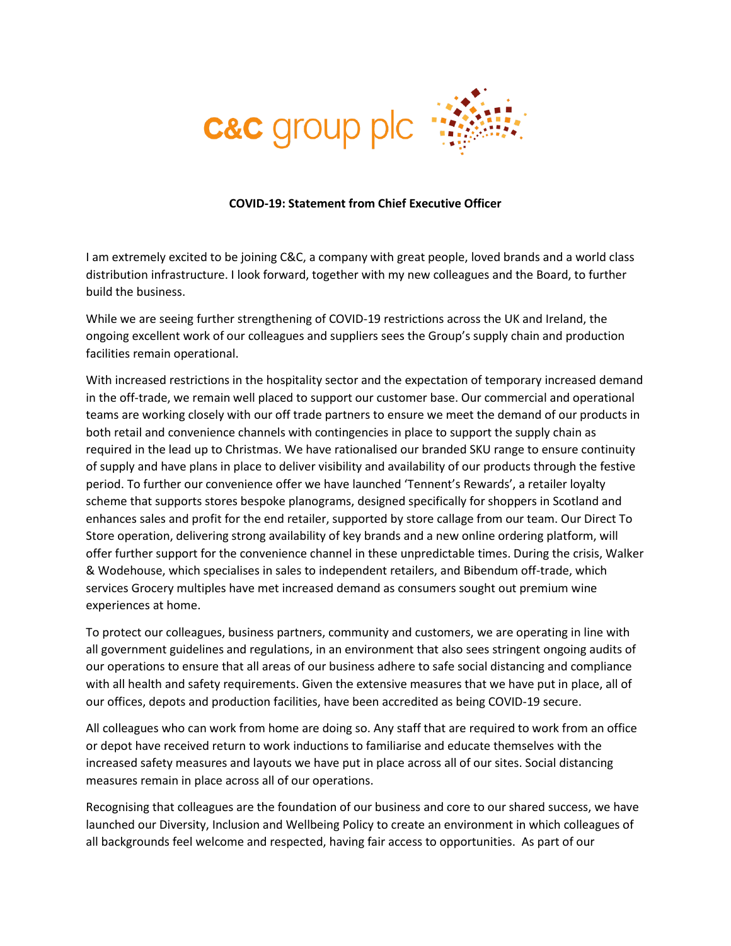

## **COVID-19: Statement from Chief Executive Officer**

I am extremely excited to be joining C&C, a company with great people, loved brands and a world class distribution infrastructure. I look forward, together with my new colleagues and the Board, to further build the business.

While we are seeing further strengthening of COVID-19 restrictions across the UK and Ireland, the ongoing excellent work of our colleagues and suppliers sees the Group's supply chain and production facilities remain operational.

With increased restrictions in the hospitality sector and the expectation of temporary increased demand in the off-trade, we remain well placed to support our customer base. Our commercial and operational teams are working closely with our off trade partners to ensure we meet the demand of our products in both retail and convenience channels with contingencies in place to support the supply chain as required in the lead up to Christmas. We have rationalised our branded SKU range to ensure continuity of supply and have plans in place to deliver visibility and availability of our products through the festive period. To further our convenience offer we have launched 'Tennent's Rewards', a retailer loyalty scheme that supports stores bespoke planograms, designed specifically for shoppers in Scotland and enhances sales and profit for the end retailer, supported by store callage from our team. Our Direct To Store operation, delivering strong availability of key brands and a new online ordering platform, will offer further support for the convenience channel in these unpredictable times. During the crisis, Walker & Wodehouse, which specialises in sales to independent retailers, and Bibendum off-trade, which services Grocery multiples have met increased demand as consumers sought out premium wine experiences at home.

To protect our colleagues, business partners, community and customers, we are operating in line with all government guidelines and regulations, in an environment that also sees stringent ongoing audits of our operations to ensure that all areas of our business adhere to safe social distancing and compliance with all health and safety requirements. Given the extensive measures that we have put in place, all of our offices, depots and production facilities, have been accredited as being COVID-19 secure.

All colleagues who can work from home are doing so. Any staff that are required to work from an office or depot have received return to work inductions to familiarise and educate themselves with the increased safety measures and layouts we have put in place across all of our sites. Social distancing measures remain in place across all of our operations.

Recognising that colleagues are the foundation of our business and core to our shared success, we have launched our Diversity, Inclusion and Wellbeing Policy to create an environment in which colleagues of all backgrounds feel welcome and respected, having fair access to opportunities. As part of our